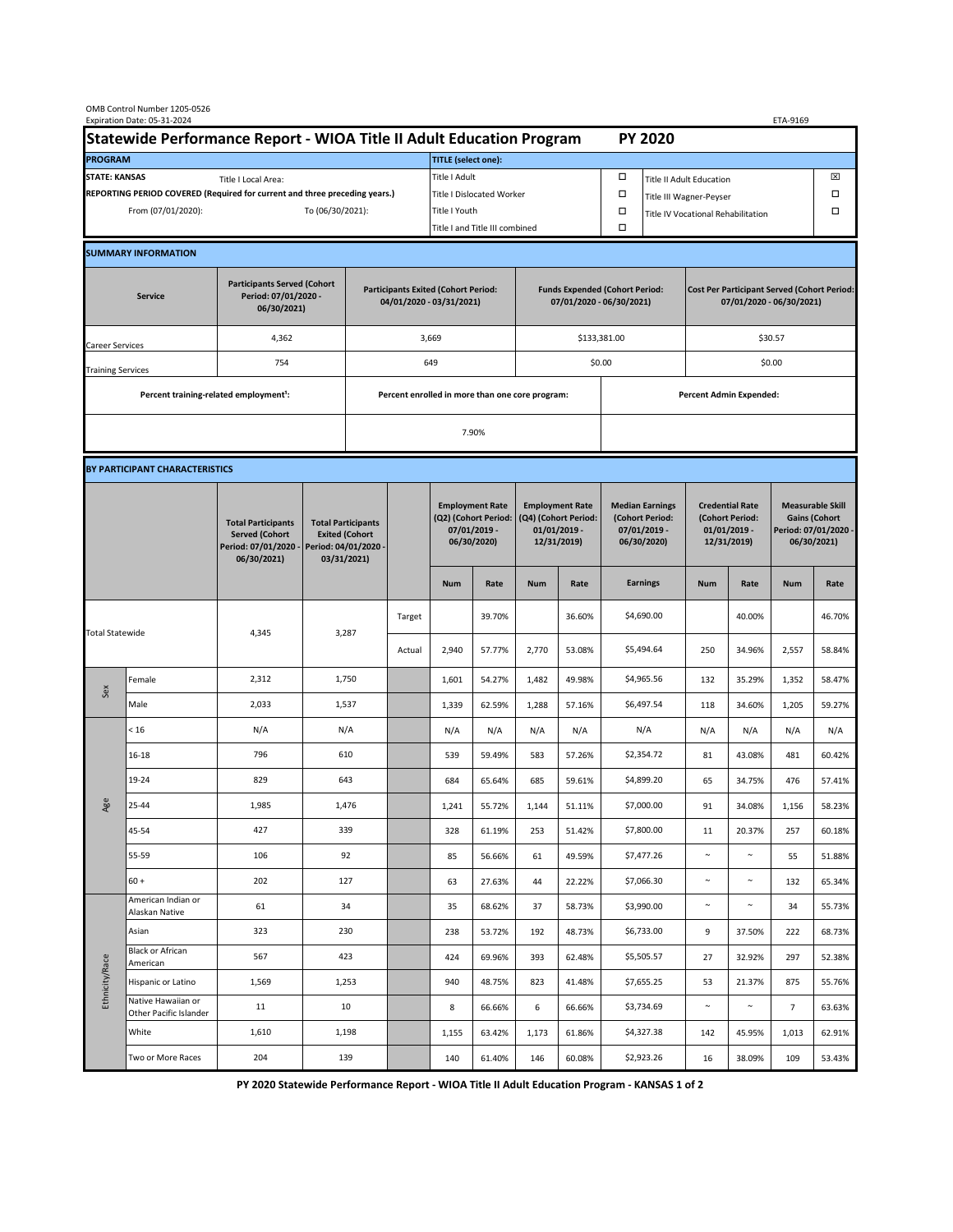| OMB Control Number 1205-0526<br>Expiration Date: 05-31-2024<br>ETA-9169                     |                                                    |                                                                                           |                                                                                           |                                                                        |        |                                                                               |                                |                                                                                 |        |                                                                            |                         |                                                                                |        |                                                                                        |        |  |
|---------------------------------------------------------------------------------------------|----------------------------------------------------|-------------------------------------------------------------------------------------------|-------------------------------------------------------------------------------------------|------------------------------------------------------------------------|--------|-------------------------------------------------------------------------------|--------------------------------|---------------------------------------------------------------------------------|--------|----------------------------------------------------------------------------|-------------------------|--------------------------------------------------------------------------------|--------|----------------------------------------------------------------------------------------|--------|--|
| Statewide Performance Report - WIOA Title II Adult Education Program                        |                                                    |                                                                                           |                                                                                           |                                                                        |        | <b>PY 2020</b>                                                                |                                |                                                                                 |        |                                                                            |                         |                                                                                |        |                                                                                        |        |  |
| <b>PROGRAM</b>                                                                              |                                                    |                                                                                           |                                                                                           |                                                                        |        | <b>TITLE</b> (select one):                                                    |                                |                                                                                 |        |                                                                            |                         |                                                                                |        |                                                                                        |        |  |
| <b>STATE: KANSAS</b><br>Title I Local Area:                                                 |                                                    |                                                                                           |                                                                                           |                                                                        |        | Title I Adult                                                                 |                                |                                                                                 |        | □<br><b>Title II Adult Education</b>                                       |                         |                                                                                |        |                                                                                        | ⊠      |  |
| REPORTING PERIOD COVERED (Required for current and three preceding years.)                  |                                                    |                                                                                           |                                                                                           |                                                                        |        | Title I Dislocated Worker                                                     |                                |                                                                                 |        | Ω                                                                          | Title III Wagner-Peyser |                                                                                |        |                                                                                        | □      |  |
| From (07/01/2020):                                                                          |                                                    |                                                                                           | To (06/30/2021):                                                                          |                                                                        |        | Title I Youth                                                                 |                                |                                                                                 | $\Box$ | Title IV Vocational Rehabilitation                                         |                         |                                                                                | □      |                                                                                        |        |  |
|                                                                                             |                                                    |                                                                                           |                                                                                           |                                                                        |        |                                                                               | Title I and Title III combined |                                                                                 |        | Ω                                                                          |                         |                                                                                |        |                                                                                        |        |  |
|                                                                                             | <b>SUMMARY INFORMATION</b>                         |                                                                                           |                                                                                           |                                                                        |        |                                                                               |                                |                                                                                 |        |                                                                            |                         |                                                                                |        |                                                                                        |        |  |
| <b>Participants Served (Cohort</b><br>Period: 07/01/2020 -<br><b>Service</b><br>06/30/2021) |                                                    |                                                                                           |                                                                                           | <b>Participants Exited (Cohort Period:</b><br>04/01/2020 - 03/31/2021) |        |                                                                               |                                | <b>Funds Expended (Cohort Period:</b><br>07/01/2020 - 06/30/2021)               |        |                                                                            |                         | <b>Cost Per Participant Served (Cohort Period:</b><br>07/01/2020 - 06/30/2021) |        |                                                                                        |        |  |
| Career Services                                                                             |                                                    | 4,362                                                                                     |                                                                                           |                                                                        |        | 3,669                                                                         |                                |                                                                                 |        | \$133,381.00                                                               |                         | \$30.57                                                                        |        |                                                                                        |        |  |
| <b>Training Services</b>                                                                    |                                                    | 754                                                                                       |                                                                                           | 649                                                                    |        |                                                                               |                                |                                                                                 |        | \$0.00                                                                     |                         | \$0.00                                                                         |        |                                                                                        |        |  |
|                                                                                             | Percent training-related employment <sup>1</sup> : |                                                                                           | Percent enrolled in more than one core program:                                           |                                                                        |        |                                                                               |                                |                                                                                 |        | <b>Percent Admin Expended:</b>                                             |                         |                                                                                |        |                                                                                        |        |  |
|                                                                                             |                                                    |                                                                                           |                                                                                           |                                                                        |        |                                                                               |                                |                                                                                 |        |                                                                            |                         |                                                                                |        |                                                                                        |        |  |
|                                                                                             |                                                    |                                                                                           |                                                                                           | 7.90%                                                                  |        |                                                                               |                                |                                                                                 |        |                                                                            |                         |                                                                                |        |                                                                                        |        |  |
|                                                                                             | BY PARTICIPANT CHARACTERISTICS                     |                                                                                           |                                                                                           |                                                                        |        |                                                                               |                                |                                                                                 |        |                                                                            |                         |                                                                                |        |                                                                                        |        |  |
|                                                                                             |                                                    | <b>Total Participants</b><br><b>Served (Cohort</b><br>Period: 07/01/2020 -<br>06/30/2021) | <b>Total Participants</b><br><b>Exited (Cohort</b><br>Period: 04/01/2020 -<br>03/31/2021) |                                                                        |        | <b>Employment Rate</b><br>(Q2) (Cohort Period:<br>07/01/2019 -<br>06/30/2020) |                                | <b>Employment Rate</b><br>(Q4) (Cohort Period:<br>$01/01/2019$ -<br>12/31/2019) |        | <b>Median Earnings</b><br>(Cohort Period:<br>$07/01/2019 -$<br>06/30/2020) |                         | <b>Credential Rate</b><br>(Cohort Period:<br>$01/01/2019$ -<br>12/31/2019)     |        | <b>Measurable Skill</b><br><b>Gains (Cohort</b><br>Period: 07/01/2020 -<br>06/30/2021) |        |  |
|                                                                                             |                                                    |                                                                                           |                                                                                           |                                                                        |        | <b>Num</b>                                                                    | Rate                           | <b>Num</b>                                                                      | Rate   |                                                                            | <b>Earnings</b>         | <b>Num</b>                                                                     | Rate   | <b>Num</b>                                                                             | Rate   |  |
| <b>Total Statewide</b>                                                                      |                                                    | 4,345                                                                                     | 3,287                                                                                     |                                                                        | Target |                                                                               | 39.70%                         |                                                                                 | 36.60% |                                                                            | \$4,690.00              |                                                                                | 40.00% |                                                                                        | 46.70% |  |
|                                                                                             |                                                    |                                                                                           |                                                                                           |                                                                        | Actual | 2,940                                                                         | 57.77%                         | 2,770                                                                           | 53.08% |                                                                            | \$5,494.64              | 250                                                                            | 34.96% | 2,557                                                                                  | 58.84% |  |
| Sex                                                                                         | Female                                             | 2,312                                                                                     | 1,750                                                                                     |                                                                        |        | 1,601                                                                         | 54.27%                         | 1,482                                                                           | 49.98% |                                                                            | \$4,965.56              | 132                                                                            | 35.29% | 1,352                                                                                  | 58.47% |  |
|                                                                                             | Male                                               | 2,033                                                                                     | 1,537                                                                                     |                                                                        |        | 1,339                                                                         | 62.59%                         | 1,288                                                                           | 57.16% |                                                                            | \$6,497.54              | 118                                                                            | 34.60% | 1,205                                                                                  | 59.27% |  |
|                                                                                             | < 16                                               | N/A                                                                                       | N/A                                                                                       |                                                                        |        | N/A                                                                           | N/A                            | N/A                                                                             | N/A    |                                                                            | N/A                     | N/A                                                                            | N/A    | N/A                                                                                    | N/A    |  |
|                                                                                             | $16 - 18$                                          | 796                                                                                       | 610                                                                                       |                                                                        |        | 539                                                                           | 59.49%                         | 583                                                                             | 57.26% |                                                                            | \$2,354.72              | 81                                                                             | 43.08% | 481                                                                                    | 60.42% |  |
| Age                                                                                         | 19-24                                              | 829                                                                                       | 643                                                                                       |                                                                        |        | 684                                                                           | 65.64%                         | 685                                                                             | 59.61% |                                                                            | \$4,899.20              | 65                                                                             | 34.75% | 476                                                                                    | 57.41% |  |
|                                                                                             | 25-44                                              | 1,985                                                                                     | 1,476                                                                                     |                                                                        |        | 1,241                                                                         | 55.72%                         | 1,144                                                                           | 51.11% |                                                                            | \$7,000.00              | 91                                                                             | 34.08% | 1,156                                                                                  | 58.23% |  |
|                                                                                             | 45-54                                              | 427                                                                                       | 339                                                                                       |                                                                        |        | 328                                                                           | 61.19%                         | 253                                                                             | 51.42% |                                                                            | \$7,800.00              | 11                                                                             | 20.37% | 257                                                                                    | 60.18% |  |
|                                                                                             | 55-59                                              | 106                                                                                       | 92                                                                                        |                                                                        |        | 85                                                                            | 56.66%                         | 61                                                                              | 49.59% |                                                                            | \$7,477.26              | $\sim$                                                                         | $\sim$ | 55                                                                                     | 51.88% |  |
|                                                                                             | $60 +$                                             | 202                                                                                       | 127                                                                                       |                                                                        |        | 63                                                                            | 27.63%                         | 44                                                                              | 22.22% |                                                                            | \$7,066.30              | $\sim$                                                                         | $\sim$ | 132                                                                                    | 65.34% |  |
| Ethnicity/Race                                                                              | American Indian or<br>Alaskan Native               | 61                                                                                        | 34                                                                                        |                                                                        |        | 35                                                                            | 68.62%                         | 37                                                                              | 58.73% |                                                                            | \$3,990.00              | $\sim$                                                                         | $\sim$ | 34                                                                                     | 55.73% |  |
|                                                                                             | Asian                                              | 323                                                                                       | 230                                                                                       |                                                                        |        | 238                                                                           | 53.72%                         | 192                                                                             | 48.73% |                                                                            | \$6,733.00              | 9                                                                              | 37.50% | 222                                                                                    | 68.73% |  |
|                                                                                             | Black or African<br>American                       | 567                                                                                       | 423                                                                                       |                                                                        |        | 424                                                                           | 69.96%                         | 393                                                                             | 62.48% |                                                                            | \$5,505.57              | 27                                                                             | 32.92% | 297                                                                                    | 52.38% |  |
|                                                                                             | Hispanic or Latino                                 | 1,569                                                                                     | 1,253                                                                                     |                                                                        |        | 940                                                                           | 48.75%                         | 823                                                                             | 41.48% |                                                                            | \$7,655.25              | 53                                                                             | 21.37% | 875                                                                                    | 55.76% |  |
|                                                                                             | Native Hawaiian or<br>Other Pacific Islander       | 11                                                                                        |                                                                                           | 10                                                                     |        | 8                                                                             | 66.66%                         | 6                                                                               | 66.66% |                                                                            | \$3,734.69              | $\sim$                                                                         | $\sim$ | $\overline{7}$                                                                         | 63.63% |  |
|                                                                                             | White                                              | 1,610                                                                                     | 1,198                                                                                     |                                                                        |        | 1,155                                                                         | 63.42%                         | 1,173                                                                           | 61.86% |                                                                            | \$4,327.38              | 142                                                                            | 45.95% | 1,013                                                                                  | 62.91% |  |
|                                                                                             | Two or More Races                                  | 204                                                                                       | 139                                                                                       |                                                                        |        | 140                                                                           | 61.40%                         | 146                                                                             | 60.08% |                                                                            | \$2,923.26              | 16                                                                             | 38.09% | 109                                                                                    | 53.43% |  |

**PY 2020 Statewide Performance Report - WIOA Title II Adult Education Program - KANSAS 1 of 2**